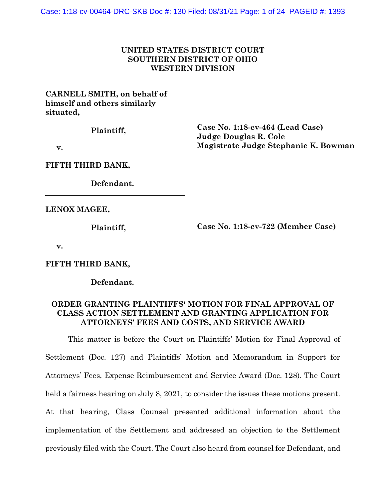### **UNITED STATES DISTRICT COURT SOUTHERN DISTRICT OF OHIO WESTERN DIVISION**

# **CARNELL SMITH, on behalf of himself and others similarly situated,**

**Plaintiff,**

**Case No. 1:18-cv-464 (Lead Case) Judge Douglas R. Cole Magistrate Judge Stephanie K. Bowman**

 **v.**

**FIFTH THIRD BANK,**

**Defendant.**

**LENOX MAGEE,**

**Plaintiff,**

**Case No. 1:18-cv-722 (Member Case)**

 **v.**

**FIFTH THIRD BANK,**

**Defendant.**

## **ORDER GRANTING PLAINTIFFS' MOTION FOR FINAL APPROVAL OF CLASS ACTION SETTLEMENT AND GRANTING APPLICATION FOR ATTORNEYS' FEES AND COSTS, AND SERVICE AWARD**

This matter is before the Court on Plaintiffs' Motion for Final Approval of Settlement (Doc. 127) and Plaintiffs' Motion and Memorandum in Support for Attorneys' Fees, Expense Reimbursement and Service Award (Doc. 128). The Court held a fairness hearing on July 8, 2021, to consider the issues these motions present. At that hearing, Class Counsel presented additional information about the implementation of the Settlement and addressed an objection to the Settlement previously filed with the Court. The Court also heard from counsel for Defendant, and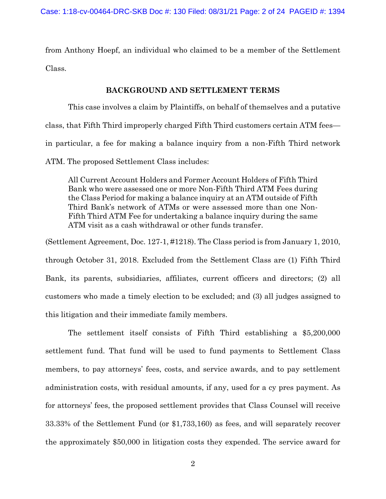from Anthony Hoepf, an individual who claimed to be a member of the Settlement Class.

#### **BACKGROUND AND SETTLEMENT TERMS**

This case involves a claim by Plaintiffs, on behalf of themselves and a putative class, that Fifth Third improperly charged Fifth Third customers certain ATM fees in particular, a fee for making a balance inquiry from a non-Fifth Third network ATM. The proposed Settlement Class includes:

All Current Account Holders and Former Account Holders of Fifth Third Bank who were assessed one or more Non-Fifth Third ATM Fees during the Class Period for making a balance inquiry at an ATM outside of Fifth Third Bank's network of ATMs or were assessed more than one Non-Fifth Third ATM Fee for undertaking a balance inquiry during the same ATM visit as a cash withdrawal or other funds transfer.

(Settlement Agreement, Doc. 127-1, #1218). The Class period is from January 1, 2010, through October 31, 2018. Excluded from the Settlement Class are (1) Fifth Third Bank, its parents, subsidiaries, affiliates, current officers and directors; (2) all customers who made a timely election to be excluded; and (3) all judges assigned to this litigation and their immediate family members.

The settlement itself consists of Fifth Third establishing a \$5,200,000 settlement fund. That fund will be used to fund payments to Settlement Class members, to pay attorneys' fees, costs, and service awards, and to pay settlement administration costs, with residual amounts, if any, used for a cy pres payment. As for attorneys' fees, the proposed settlement provides that Class Counsel will receive 33.33% of the Settlement Fund (or \$1,733,160) as fees, and will separately recover the approximately \$50,000 in litigation costs they expended. The service award for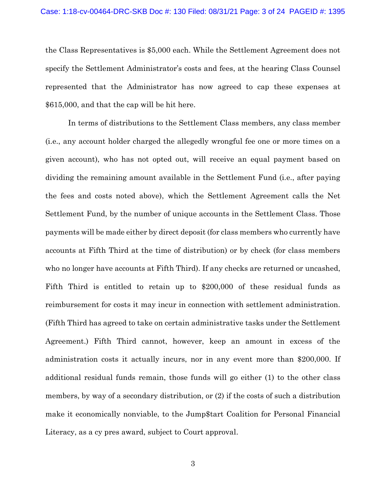the Class Representatives is \$5,000 each. While the Settlement Agreement does not specify the Settlement Administrator's costs and fees, at the hearing Class Counsel represented that the Administrator has now agreed to cap these expenses at \$615,000, and that the cap will be hit here.

In terms of distributions to the Settlement Class members, any class member (i.e., any account holder charged the allegedly wrongful fee one or more times on a given account), who has not opted out, will receive an equal payment based on dividing the remaining amount available in the Settlement Fund (i.e., after paying the fees and costs noted above), which the Settlement Agreement calls the Net Settlement Fund, by the number of unique accounts in the Settlement Class. Those payments will be made either by direct deposit (for class members who currently have accounts at Fifth Third at the time of distribution) or by check (for class members who no longer have accounts at Fifth Third). If any checks are returned or uncashed, Fifth Third is entitled to retain up to \$200,000 of these residual funds as reimbursement for costs it may incur in connection with settlement administration. (Fifth Third has agreed to take on certain administrative tasks under the Settlement Agreement.) Fifth Third cannot, however, keep an amount in excess of the administration costs it actually incurs, nor in any event more than \$200,000. If additional residual funds remain, those funds will go either (1) to the other class members, by way of a secondary distribution, or (2) if the costs of such a distribution make it economically nonviable, to the Jump\$tart Coalition for Personal Financial Literacy, as a cy pres award, subject to Court approval.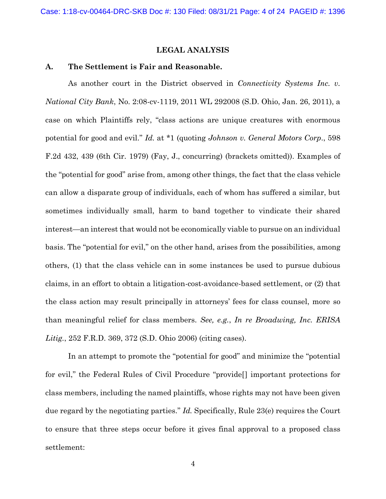## **LEGAL ANALYSIS**

#### **A. The Settlement is Fair and Reasonable.**

As another court in the District observed in *Connectivity Systems Inc. v. National City Bank*, No. 2:08-cv-1119, 2011 WL 292008 (S.D. Ohio, Jan. 26, 2011), a case on which Plaintiffs rely, "class actions are unique creatures with enormous potential for good and evil." *Id.* at \*1 (quoting *Johnson v. General Motors Corp*., 598 F.2d 432, 439 (6th Cir. 1979) (Fay, J., concurring) (brackets omitted)). Examples of the "potential for good" arise from, among other things, the fact that the class vehicle can allow a disparate group of individuals, each of whom has suffered a similar, but sometimes individually small, harm to band together to vindicate their shared interest—an interest that would not be economically viable to pursue on an individual basis. The "potential for evil," on the other hand, arises from the possibilities, among others, (1) that the class vehicle can in some instances be used to pursue dubious claims, in an effort to obtain a litigation-cost-avoidance-based settlement, or (2) that the class action may result principally in attorneys' fees for class counsel, more so than meaningful relief for class members. *See, e.g.*, *In re Broadwing, Inc. ERISA Litig.*, 252 F.R.D. 369, 372 (S.D. Ohio 2006) (citing cases).

In an attempt to promote the "potential for good" and minimize the "potential for evil," the Federal Rules of Civil Procedure "provide[] important protections for class members, including the named plaintiffs, whose rights may not have been given due regard by the negotiating parties." *Id.* Specifically, Rule 23(e) requires the Court to ensure that three steps occur before it gives final approval to a proposed class settlement: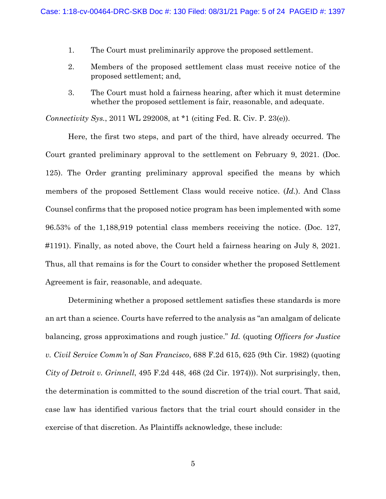- 1. The Court must preliminarily approve the proposed settlement.
- 2. Members of the proposed settlement class must receive notice of the proposed settlement; and,
- 3. The Court must hold a fairness hearing, after which it must determine whether the proposed settlement is fair, reasonable, and adequate.

*Connectivity Sys.*, 2011 WL 292008, at \*1 (citing Fed. R. Civ. P. 23(e)).

Here, the first two steps, and part of the third, have already occurred. The Court granted preliminary approval to the settlement on February 9, 2021. (Doc. 125). The Order granting preliminary approval specified the means by which members of the proposed Settlement Class would receive notice. (*Id.*). And Class Counsel confirms that the proposed notice program has been implemented with some 96.53% of the 1,188,919 potential class members receiving the notice. (Doc. 127, #1191). Finally, as noted above, the Court held a fairness hearing on July 8, 2021. Thus, all that remains is for the Court to consider whether the proposed Settlement Agreement is fair, reasonable, and adequate.

Determining whether a proposed settlement satisfies these standards is more an art than a science. Courts have referred to the analysis as "an amalgam of delicate balancing, gross approximations and rough justice." *Id.* (quoting *Officers for Justice v. Civil Service Comm'n of San Francisco*, 688 F.2d 615, 625 (9th Cir. 1982) (quoting *City of Detroit v. Grinnell*, 495 F.2d 448, 468 (2d Cir. 1974))). Not surprisingly, then, the determination is committed to the sound discretion of the trial court. That said, case law has identified various factors that the trial court should consider in the exercise of that discretion. As Plaintiffs acknowledge, these include: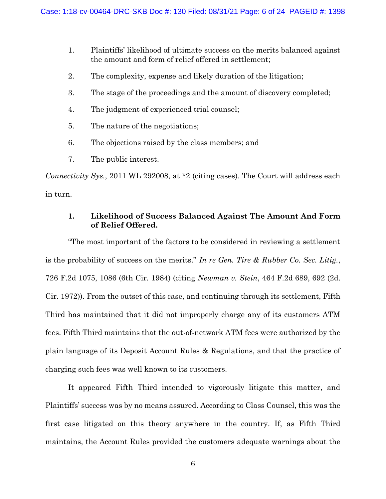- 1. Plaintiffs' likelihood of ultimate success on the merits balanced against the amount and form of relief offered in settlement;
- 2. The complexity, expense and likely duration of the litigation;
- 3. The stage of the proceedings and the amount of discovery completed;
- 4. The judgment of experienced trial counsel;
- 5. The nature of the negotiations;
- 6. The objections raised by the class members; and
- 7. The public interest.

*Connectivity Sys.*, 2011 WL 292008, at \*2 (citing cases). The Court will address each in turn.

# **1. Likelihood of Success Balanced Against The Amount And Form of Relief Offered.**

"The most important of the factors to be considered in reviewing a settlement is the probability of success on the merits." *In re Gen. Tire & Rubber Co. Sec. Litig.*, 726 F.2d 1075, 1086 (6th Cir. 1984) (citing *Newman v. Stein*, 464 F.2d 689, 692 (2d. Cir. 1972)). From the outset of this case, and continuing through its settlement, Fifth Third has maintained that it did not improperly charge any of its customers ATM fees. Fifth Third maintains that the out-of-network ATM fees were authorized by the plain language of its Deposit Account Rules & Regulations, and that the practice of charging such fees was well known to its customers.

It appeared Fifth Third intended to vigorously litigate this matter, and Plaintiffs' success was by no means assured. According to Class Counsel, this was the first case litigated on this theory anywhere in the country. If, as Fifth Third maintains, the Account Rules provided the customers adequate warnings about the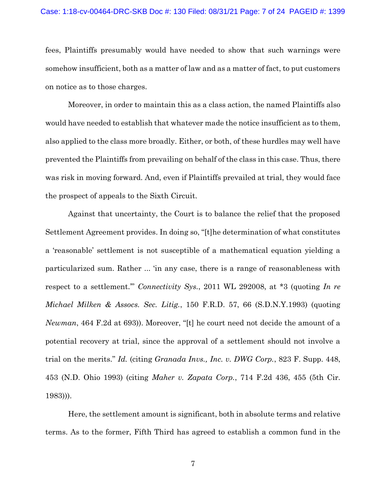fees, Plaintiffs presumably would have needed to show that such warnings were somehow insufficient, both as a matter of law and as a matter of fact, to put customers on notice as to those charges.

Moreover, in order to maintain this as a class action, the named Plaintiffs also would have needed to establish that whatever made the notice insufficient as to them, also applied to the class more broadly. Either, or both, of these hurdles may well have prevented the Plaintiffs from prevailing on behalf of the class in this case. Thus, there was risk in moving forward. And, even if Plaintiffs prevailed at trial, they would face the prospect of appeals to the Sixth Circuit.

Against that uncertainty, the Court is to balance the relief that the proposed Settlement Agreement provides. In doing so, "[t]he determination of what constitutes a 'reasonable' settlement is not susceptible of a mathematical equation yielding a particularized sum. Rather ... 'in any case, there is a range of reasonableness with respect to a settlement.'" *Connectivity Sys.*, 2011 WL 292008, at \*3 (quoting *In re Michael Milken & Assocs. Sec. Litig.*, 150 F.R.D. 57, 66 (S.D.N.Y.1993) (quoting *Newman*, 464 F.2d at 693)). Moreover, "[t] he court need not decide the amount of a potential recovery at trial, since the approval of a settlement should not involve a trial on the merits." *Id.* (citing *Granada Invs., Inc. v. DWG Corp.*, 823 F. Supp. 448, 453 (N.D. Ohio 1993) (citing *Maher v. Zapata Corp.*, 714 F.2d 436, 455 (5th Cir. 1983))).

Here, the settlement amount is significant, both in absolute terms and relative terms. As to the former, Fifth Third has agreed to establish a common fund in the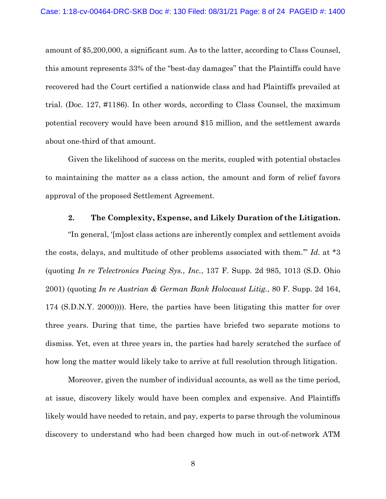amount of \$5,200,000, a significant sum. As to the latter, according to Class Counsel, this amount represents 33% of the "best-day damages" that the Plaintiffs could have recovered had the Court certified a nationwide class and had Plaintiffs prevailed at trial. (Doc. 127, #1186). In other words, according to Class Counsel, the maximum potential recovery would have been around \$15 million, and the settlement awards about one-third of that amount.

Given the likelihood of success on the merits, coupled with potential obstacles to maintaining the matter as a class action, the amount and form of relief favors approval of the proposed Settlement Agreement.

## **2. The Complexity, Expense, and Likely Duration of the Litigation.**

"In general, '[m]ost class actions are inherently complex and settlement avoids the costs, delays, and multitude of other problems associated with them.'" *Id*. at \*3 (quoting *In re Telectronics Pacing Sys., Inc.*, 137 F. Supp. 2d 985, 1013 (S.D. Ohio 2001) (quoting *In re Austrian & German Bank Holocaust Litig.*, 80 F. Supp. 2d 164, 174 (S.D.N.Y. 2000)))). Here, the parties have been litigating this matter for over three years. During that time, the parties have briefed two separate motions to dismiss. Yet, even at three years in, the parties had barely scratched the surface of how long the matter would likely take to arrive at full resolution through litigation.

Moreover, given the number of individual accounts, as well as the time period, at issue, discovery likely would have been complex and expensive. And Plaintiffs likely would have needed to retain, and pay, experts to parse through the voluminous discovery to understand who had been charged how much in out-of-network ATM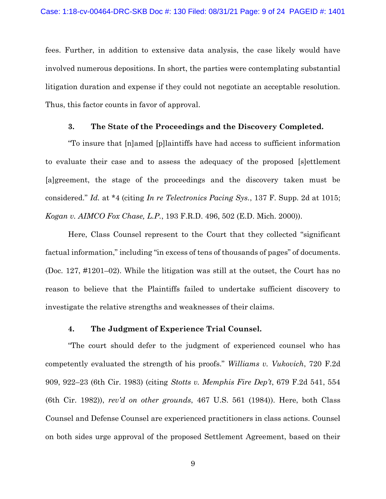fees. Further, in addition to extensive data analysis, the case likely would have involved numerous depositions. In short, the parties were contemplating substantial litigation duration and expense if they could not negotiate an acceptable resolution. Thus, this factor counts in favor of approval.

#### **3. The State of the Proceedings and the Discovery Completed.**

"To insure that [n]amed [p]laintiffs have had access to sufficient information to evaluate their case and to assess the adequacy of the proposed [s]ettlement [a]greement, the stage of the proceedings and the discovery taken must be considered." *Id.* at \*4 (citing *In re Telectronics Pacing Sys.*, 137 F. Supp. 2d at 1015; *Kogan v. AIMCO Fox Chase, L.P.*, 193 F.R.D. 496, 502 (E.D. Mich. 2000)).

Here, Class Counsel represent to the Court that they collected "significant factual information," including "in excess of tens of thousands of pages" of documents. (Doc. 127, #1201–02). While the litigation was still at the outset, the Court has no reason to believe that the Plaintiffs failed to undertake sufficient discovery to investigate the relative strengths and weaknesses of their claims.

### **4. The Judgment of Experience Trial Counsel.**

"The court should defer to the judgment of experienced counsel who has competently evaluated the strength of his proofs." *Williams v. Vukovich*, 720 F.2d 909, 922–23 (6th Cir. 1983) (citing *Stotts v. Memphis Fire Dep't*, 679 F.2d 541, 554 (6th Cir. 1982)), *rev'd on other grounds*, 467 U.S. 561 (1984)). Here, both Class Counsel and Defense Counsel are experienced practitioners in class actions. Counsel on both sides urge approval of the proposed Settlement Agreement, based on their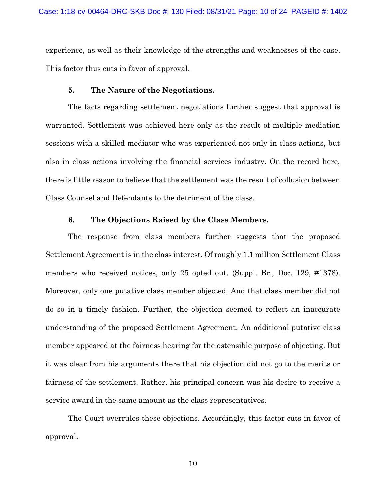experience, as well as their knowledge of the strengths and weaknesses of the case. This factor thus cuts in favor of approval.

### **5. The Nature of the Negotiations.**

The facts regarding settlement negotiations further suggest that approval is warranted. Settlement was achieved here only as the result of multiple mediation sessions with a skilled mediator who was experienced not only in class actions, but also in class actions involving the financial services industry. On the record here, there is little reason to believe that the settlement was the result of collusion between Class Counsel and Defendants to the detriment of the class.

### **6. The Objections Raised by the Class Members.**

The response from class members further suggests that the proposed Settlement Agreement is in the class interest. Of roughly 1.1 million Settlement Class members who received notices, only 25 opted out. (Suppl. Br., Doc. 129, #1378). Moreover, only one putative class member objected. And that class member did not do so in a timely fashion. Further, the objection seemed to reflect an inaccurate understanding of the proposed Settlement Agreement. An additional putative class member appeared at the fairness hearing for the ostensible purpose of objecting. But it was clear from his arguments there that his objection did not go to the merits or fairness of the settlement. Rather, his principal concern was his desire to receive a service award in the same amount as the class representatives.

The Court overrules these objections. Accordingly, this factor cuts in favor of approval.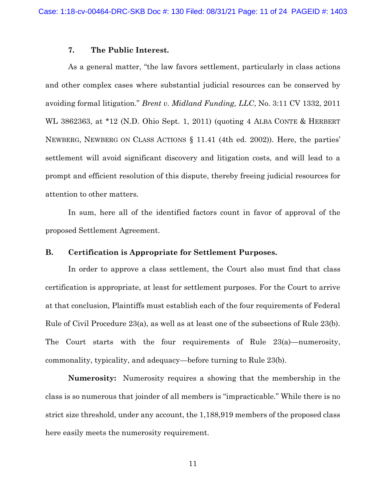### **7. The Public Interest.**

As a general matter, "the law favors settlement, particularly in class actions and other complex cases where substantial judicial resources can be conserved by avoiding formal litigation." *Brent v. Midland Funding, LLC*, No. 3:11 CV 1332, 2011 WL 3862363, at \*12 (N.D. Ohio Sept. 1, 2011) (quoting 4 ALBA CONTE & HERBERT NEWBERG, NEWBERG ON CLASS ACTIONS § 11.41 (4th ed. 2002)). Here, the parties' settlement will avoid significant discovery and litigation costs, and will lead to a prompt and efficient resolution of this dispute, thereby freeing judicial resources for attention to other matters.

In sum, here all of the identified factors count in favor of approval of the proposed Settlement Agreement.

#### **B. Certification is Appropriate for Settlement Purposes.**

In order to approve a class settlement, the Court also must find that class certification is appropriate, at least for settlement purposes. For the Court to arrive at that conclusion, Plaintiffs must establish each of the four requirements of Federal Rule of Civil Procedure 23(a), as well as at least one of the subsections of Rule 23(b). The Court starts with the four requirements of Rule 23(a)—numerosity, commonality, typicality, and adequacy—before turning to Rule 23(b).

**Numerosity:** Numerosity requires a showing that the membership in the class is so numerous that joinder of all members is "impracticable." While there is no strict size threshold, under any account, the 1,188,919 members of the proposed class here easily meets the numerosity requirement.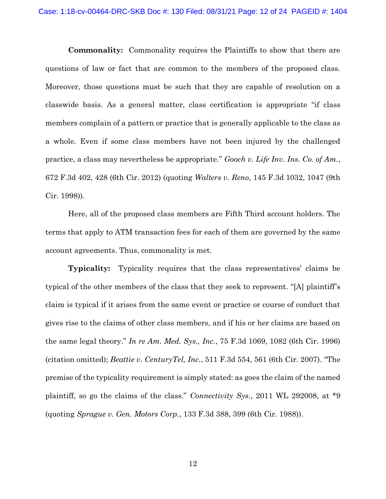**Commonality:** Commonality requires the Plaintiffs to show that there are questions of law or fact that are common to the members of the proposed class. Moreover, those questions must be such that they are capable of resolution on a classwide basis. As a general matter, class certification is appropriate "if class members complain of a pattern or practice that is generally applicable to the class as a whole. Even if some class members have not been injured by the challenged practice, a class may nevertheless be appropriate." *Gooch v. Life Inv. Ins. Co. of Am.*, 672 F.3d 402, 428 (6th Cir. 2012) (quoting *Walters v. Reno*, 145 F.3d 1032, 1047 (9th Cir. 1998)).

Here, all of the proposed class members are Fifth Third account holders. The terms that apply to ATM transaction fees for each of them are governed by the same account agreements. Thus, commonality is met.

**Typicality:** Typicality requires that the class representatives' claims be typical of the other members of the class that they seek to represent. "[A] plaintiff's claim is typical if it arises from the same event or practice or course of conduct that gives rise to the claims of other class members, and if his or her claims are based on the same legal theory." *In re Am. Med. Sys., Inc.*, 75 F.3d 1069, 1082 (6th Cir. 1996) (citation omitted); *Beattie v. CenturyTel, Inc.*, 511 F.3d 554, 561 (6th Cir. 2007). "The premise of the typicality requirement is simply stated: as goes the claim of the named plaintiff, so go the claims of the class." *Connectivity Sys.*, 2011 WL 292008, at \*9 (quoting *Sprague v. Gen. Motors Corp.*, 133 F.3d 388, 399 (6th Cir. 1988)).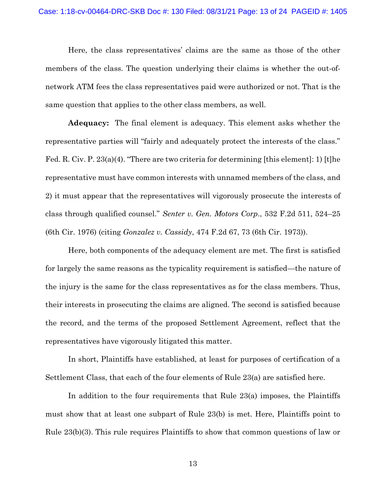Here, the class representatives' claims are the same as those of the other members of the class. The question underlying their claims is whether the out-ofnetwork ATM fees the class representatives paid were authorized or not. That is the same question that applies to the other class members, as well.

**Adequacy:** The final element is adequacy. This element asks whether the representative parties will "fairly and adequately protect the interests of the class." Fed. R. Civ. P.  $23(a)(4)$ . "There are two criteria for determining [this element]: 1) [t]he representative must have common interests with unnamed members of the class, and 2) it must appear that the representatives will vigorously prosecute the interests of class through qualified counsel." *Senter v. Gen. Motors Corp*., 532 F.2d 511, 524–25 (6th Cir. 1976) (citing *Gonzalez v. Cassidy*, 474 F.2d 67, 73 (6th Cir. 1973)).

Here, both components of the adequacy element are met. The first is satisfied for largely the same reasons as the typicality requirement is satisfied—the nature of the injury is the same for the class representatives as for the class members. Thus, their interests in prosecuting the claims are aligned. The second is satisfied because the record, and the terms of the proposed Settlement Agreement, reflect that the representatives have vigorously litigated this matter.

In short, Plaintiffs have established, at least for purposes of certification of a Settlement Class, that each of the four elements of Rule 23(a) are satisfied here.

In addition to the four requirements that Rule 23(a) imposes, the Plaintiffs must show that at least one subpart of Rule 23(b) is met. Here, Plaintiffs point to Rule 23(b)(3). This rule requires Plaintiffs to show that common questions of law or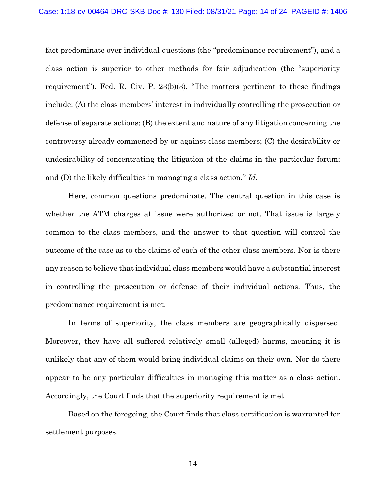fact predominate over individual questions (the "predominance requirement"), and a class action is superior to other methods for fair adjudication (the "superiority requirement"). Fed. R. Civ. P. 23(b)(3). "The matters pertinent to these findings include: (A) the class members' interest in individually controlling the prosecution or defense of separate actions; (B) the extent and nature of any litigation concerning the controversy already commenced by or against class members; (C) the desirability or undesirability of concentrating the litigation of the claims in the particular forum; and (D) the likely difficulties in managing a class action." *Id.*

Here, common questions predominate. The central question in this case is whether the ATM charges at issue were authorized or not. That issue is largely common to the class members, and the answer to that question will control the outcome of the case as to the claims of each of the other class members. Nor is there any reason to believe that individual class members would have a substantial interest in controlling the prosecution or defense of their individual actions. Thus, the predominance requirement is met.

In terms of superiority, the class members are geographically dispersed. Moreover, they have all suffered relatively small (alleged) harms, meaning it is unlikely that any of them would bring individual claims on their own. Nor do there appear to be any particular difficulties in managing this matter as a class action. Accordingly, the Court finds that the superiority requirement is met.

Based on the foregoing, the Court finds that class certification is warranted for settlement purposes.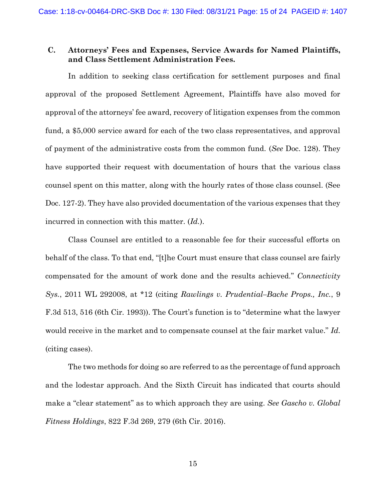## **C. Attorneys' Fees and Expenses, Service Awards for Named Plaintiffs, and Class Settlement Administration Fees.**

In addition to seeking class certification for settlement purposes and final approval of the proposed Settlement Agreement, Plaintiffs have also moved for approval of the attorneys' fee award, recovery of litigation expenses from the common fund, a \$5,000 service award for each of the two class representatives, and approval of payment of the administrative costs from the common fund. (*See* Doc. 128). They have supported their request with documentation of hours that the various class counsel spent on this matter, along with the hourly rates of those class counsel. (See Doc. 127-2). They have also provided documentation of the various expenses that they incurred in connection with this matter. (*Id.*).

Class Counsel are entitled to a reasonable fee for their successful efforts on behalf of the class. To that end, "[t]he Court must ensure that class counsel are fairly compensated for the amount of work done and the results achieved." *Connectivity Sys.*, 2011 WL 292008, at \*12 (citing *Rawlings v. Prudential–Bache Props., Inc.*, 9 F.3d 513, 516 (6th Cir. 1993)). The Court's function is to "determine what the lawyer would receive in the market and to compensate counsel at the fair market value." *Id.* (citing cases).

The two methods for doing so are referred to as the percentage of fund approach and the lodestar approach. And the Sixth Circuit has indicated that courts should make a "clear statement" as to which approach they are using. *See Gascho v. Global Fitness Holdings*, 822 F.3d 269, 279 (6th Cir. 2016).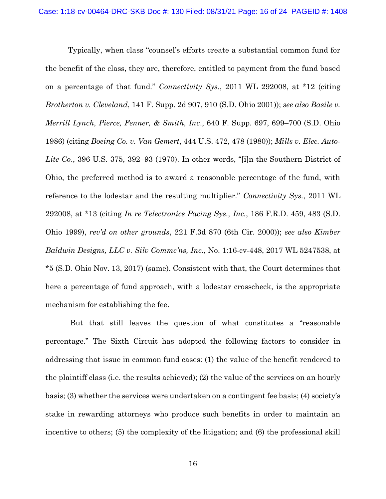Typically, when class "counsel's efforts create a substantial common fund for the benefit of the class, they are, therefore, entitled to payment from the fund based on a percentage of that fund*.*" *Connectivity Sys.*, 2011 WL 292008, at \*12 (citing *Brotherton v. Cleveland*, 141 F. Supp. 2d 907, 910 (S.D. Ohio 2001)); *see also Basile v. Merrill Lynch, Pierce, Fenner, & Smith, Inc*., 640 F. Supp. 697, 699–700 (S.D. Ohio 1986) (citing *Boeing Co. v. Van Gemert*, 444 U.S. 472, 478 (1980)); *Mills v. Elec. Auto-Lite Co*., 396 U.S. 375, 392–93 (1970). In other words, "[i]n the Southern District of Ohio, the preferred method is to award a reasonable percentage of the fund, with reference to the lodestar and the resulting multiplier." *Connectivity Sys.*, 2011 WL 292008, at \*13 (citing *In re Telectronics Pacing Sys., Inc.*, 186 F.R.D. 459, 483 (S.D. Ohio 1999), *rev'd on other grounds*, 221 F.3d 870 (6th Cir. 2000)); *see also Kimber Baldwin Designs, LLC v. Silv Commc'ns, Inc.*, No. 1:16-cv-448, 2017 WL 5247538, at \*5 (S.D. Ohio Nov. 13, 2017) (same). Consistent with that, the Court determines that here a percentage of fund approach, with a lodestar crosscheck, is the appropriate mechanism for establishing the fee.

But that still leaves the question of what constitutes a "reasonable percentage." The Sixth Circuit has adopted the following factors to consider in addressing that issue in common fund cases: (1) the value of the benefit rendered to the plaintiff class (i.e. the results achieved); (2) the value of the services on an hourly basis; (3) whether the services were undertaken on a contingent fee basis; (4) society's stake in rewarding attorneys who produce such benefits in order to maintain an incentive to others; (5) the complexity of the litigation; and (6) the professional skill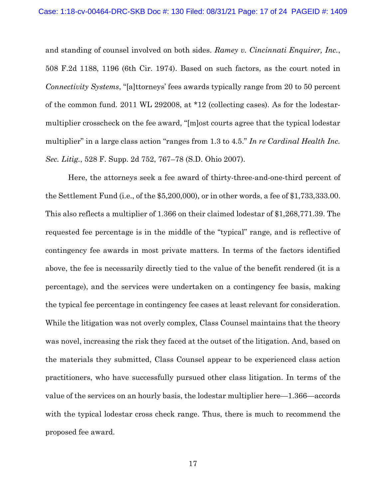and standing of counsel involved on both sides. *Ramey v. Cincinnati Enquirer, Inc.*, 508 F.2d 1188, 1196 (6th Cir. 1974). Based on such factors, as the court noted in *Connectivity Systems*, "[a]ttorneys' fees awards typically range from 20 to 50 percent of the common fund. 2011 WL 292008, at \*12 (collecting cases). As for the lodestarmultiplier crosscheck on the fee award, "[m]ost courts agree that the typical lodestar multiplier" in a large class action "ranges from 1.3 to 4.5." *In re Cardinal Health Inc. Sec. Litig.*, 528 F. Supp. 2d 752, 767–78 (S.D. Ohio 2007).

Here, the attorneys seek a fee award of thirty-three-and-one-third percent of the Settlement Fund (i.e., of the \$5,200,000), or in other words, a fee of \$1,733,333.00. This also reflects a multiplier of 1.366 on their claimed lodestar of \$1,268,771.39. The requested fee percentage is in the middle of the "typical" range, and is reflective of contingency fee awards in most private matters. In terms of the factors identified above, the fee is necessarily directly tied to the value of the benefit rendered (it is a percentage), and the services were undertaken on a contingency fee basis, making the typical fee percentage in contingency fee cases at least relevant for consideration. While the litigation was not overly complex, Class Counsel maintains that the theory was novel, increasing the risk they faced at the outset of the litigation. And, based on the materials they submitted, Class Counsel appear to be experienced class action practitioners, who have successfully pursued other class litigation. In terms of the value of the services on an hourly basis, the lodestar multiplier here—1.366—accords with the typical lodestar cross check range. Thus, there is much to recommend the proposed fee award.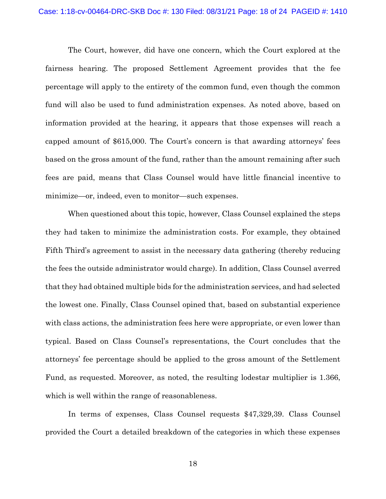The Court, however, did have one concern, which the Court explored at the fairness hearing. The proposed Settlement Agreement provides that the fee percentage will apply to the entirety of the common fund, even though the common fund will also be used to fund administration expenses. As noted above, based on information provided at the hearing, it appears that those expenses will reach a capped amount of \$615,000. The Court's concern is that awarding attorneys' fees based on the gross amount of the fund, rather than the amount remaining after such fees are paid, means that Class Counsel would have little financial incentive to minimize—or, indeed, even to monitor—such expenses.

When questioned about this topic, however, Class Counsel explained the steps they had taken to minimize the administration costs. For example, they obtained Fifth Third's agreement to assist in the necessary data gathering (thereby reducing the fees the outside administrator would charge). In addition, Class Counsel averred that they had obtained multiple bids for the administration services, and had selected the lowest one. Finally, Class Counsel opined that, based on substantial experience with class actions, the administration fees here were appropriate, or even lower than typical. Based on Class Counsel's representations, the Court concludes that the attorneys' fee percentage should be applied to the gross amount of the Settlement Fund, as requested. Moreover, as noted, the resulting lodestar multiplier is 1.366, which is well within the range of reasonableness.

In terms of expenses, Class Counsel requests \$47,329,39. Class Counsel provided the Court a detailed breakdown of the categories in which these expenses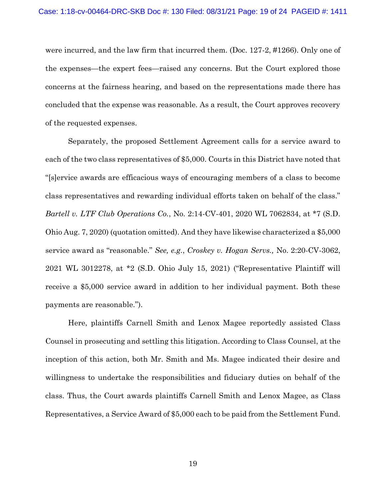were incurred, and the law firm that incurred them. (Doc. 127-2, #1266). Only one of the expenses—the expert fees—raised any concerns. But the Court explored those concerns at the fairness hearing, and based on the representations made there has concluded that the expense was reasonable. As a result, the Court approves recovery of the requested expenses.

Separately, the proposed Settlement Agreement calls for a service award to each of the two class representatives of \$5,000. Courts in this District have noted that "[s]ervice awards are efficacious ways of encouraging members of a class to become class representatives and rewarding individual efforts taken on behalf of the class." *Bartell v. LTF Club Operations Co.*, No. 2:14-CV-401, 2020 WL 7062834, at \*7 (S.D. Ohio Aug. 7, 2020) (quotation omitted). And they have likewise characterized a \$5,000 service award as "reasonable." *See, e.g.*, *Croskey v. Hogan Servs.,* No. 2:20-CV-3062, 2021 WL 3012278, at \*2 (S.D. Ohio July 15, 2021) ("Representative Plaintiff will receive a \$5,000 service award in addition to her individual payment. Both these payments are reasonable.").

Here, plaintiffs Carnell Smith and Lenox Magee reportedly assisted Class Counsel in prosecuting and settling this litigation. According to Class Counsel, at the inception of this action, both Mr. Smith and Ms. Magee indicated their desire and willingness to undertake the responsibilities and fiduciary duties on behalf of the class. Thus, the Court awards plaintiffs Carnell Smith and Lenox Magee, as Class Representatives, a Service Award of \$5,000 each to be paid from the Settlement Fund.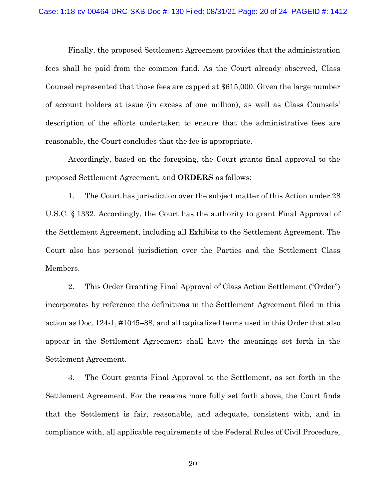Finally, the proposed Settlement Agreement provides that the administration fees shall be paid from the common fund. As the Court already observed, Class Counsel represented that those fees are capped at \$615,000. Given the large number of account holders at issue (in excess of one million), as well as Class Counsels' description of the efforts undertaken to ensure that the administrative fees are reasonable, the Court concludes that the fee is appropriate.

Accordingly, based on the foregoing, the Court grants final approval to the proposed Settlement Agreement, and **ORDERS** as follows:

1. The Court has jurisdiction over the subject matter of this Action under 28 U.S.C. § 1332. Accordingly, the Court has the authority to grant Final Approval of the Settlement Agreement, including all Exhibits to the Settlement Agreement. The Court also has personal jurisdiction over the Parties and the Settlement Class Members.

2. This Order Granting Final Approval of Class Action Settlement ("Order") incorporates by reference the definitions in the Settlement Agreement filed in this action as Doc. 124-1, #1045–88, and all capitalized terms used in this Order that also appear in the Settlement Agreement shall have the meanings set forth in the Settlement Agreement.

3. The Court grants Final Approval to the Settlement, as set forth in the Settlement Agreement. For the reasons more fully set forth above, the Court finds that the Settlement is fair, reasonable, and adequate, consistent with, and in compliance with, all applicable requirements of the Federal Rules of Civil Procedure,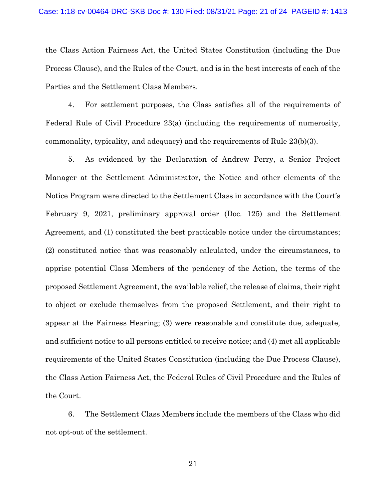the Class Action Fairness Act, the United States Constitution (including the Due Process Clause), and the Rules of the Court, and is in the best interests of each of the Parties and the Settlement Class Members.

4. For settlement purposes, the Class satisfies all of the requirements of Federal Rule of Civil Procedure 23(a) (including the requirements of numerosity, commonality, typicality, and adequacy) and the requirements of Rule 23(b)(3).

5. As evidenced by the Declaration of Andrew Perry, a Senior Project Manager at the Settlement Administrator, the Notice and other elements of the Notice Program were directed to the Settlement Class in accordance with the Court's February 9, 2021, preliminary approval order (Doc. 125) and the Settlement Agreement, and (1) constituted the best practicable notice under the circumstances; (2) constituted notice that was reasonably calculated, under the circumstances, to apprise potential Class Members of the pendency of the Action, the terms of the proposed Settlement Agreement, the available relief, the release of claims, their right to object or exclude themselves from the proposed Settlement, and their right to appear at the Fairness Hearing; (3) were reasonable and constitute due, adequate, and sufficient notice to all persons entitled to receive notice; and (4) met all applicable requirements of the United States Constitution (including the Due Process Clause), the Class Action Fairness Act, the Federal Rules of Civil Procedure and the Rules of the Court.

6. The Settlement Class Members include the members of the Class who did not opt-out of the settlement.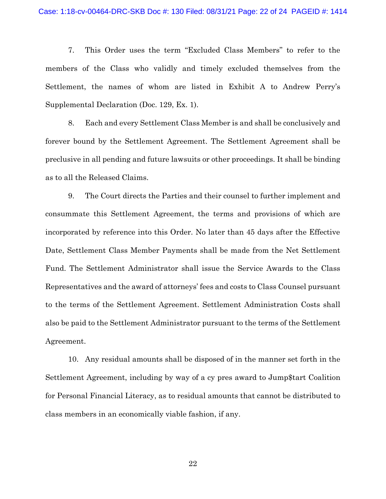7. This Order uses the term "Excluded Class Members" to refer to the members of the Class who validly and timely excluded themselves from the Settlement, the names of whom are listed in Exhibit A to Andrew Perry's Supplemental Declaration (Doc. 129, Ex. 1).

8. Each and every Settlement Class Member is and shall be conclusively and forever bound by the Settlement Agreement. The Settlement Agreement shall be preclusive in all pending and future lawsuits or other proceedings. It shall be binding as to all the Released Claims.

9. The Court directs the Parties and their counsel to further implement and consummate this Settlement Agreement, the terms and provisions of which are incorporated by reference into this Order. No later than 45 days after the Effective Date, Settlement Class Member Payments shall be made from the Net Settlement Fund. The Settlement Administrator shall issue the Service Awards to the Class Representatives and the award of attorneys' fees and costs to Class Counsel pursuant to the terms of the Settlement Agreement. Settlement Administration Costs shall also be paid to the Settlement Administrator pursuant to the terms of the Settlement Agreement.

10. Any residual amounts shall be disposed of in the manner set forth in the Settlement Agreement, including by way of a cy pres award to Jump\$tart Coalition for Personal Financial Literacy, as to residual amounts that cannot be distributed to class members in an economically viable fashion, if any.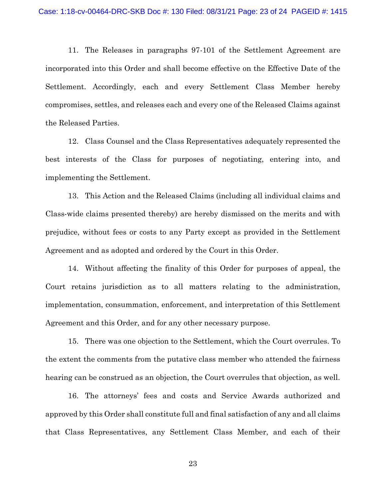11. The Releases in paragraphs 97-101 of the Settlement Agreement are incorporated into this Order and shall become effective on the Effective Date of the Settlement. Accordingly, each and every Settlement Class Member hereby compromises, settles, and releases each and every one of the Released Claims against the Released Parties.

12. Class Counsel and the Class Representatives adequately represented the best interests of the Class for purposes of negotiating, entering into, and implementing the Settlement.

13. This Action and the Released Claims (including all individual claims and Class-wide claims presented thereby) are hereby dismissed on the merits and with prejudice, without fees or costs to any Party except as provided in the Settlement Agreement and as adopted and ordered by the Court in this Order.

14. Without affecting the finality of this Order for purposes of appeal, the Court retains jurisdiction as to all matters relating to the administration, implementation, consummation, enforcement, and interpretation of this Settlement Agreement and this Order, and for any other necessary purpose.

15. There was one objection to the Settlement, which the Court overrules. To the extent the comments from the putative class member who attended the fairness hearing can be construed as an objection, the Court overrules that objection, as well.

16. The attorneys' fees and costs and Service Awards authorized and approved by this Order shall constitute full and final satisfaction of any and all claims that Class Representatives, any Settlement Class Member, and each of their